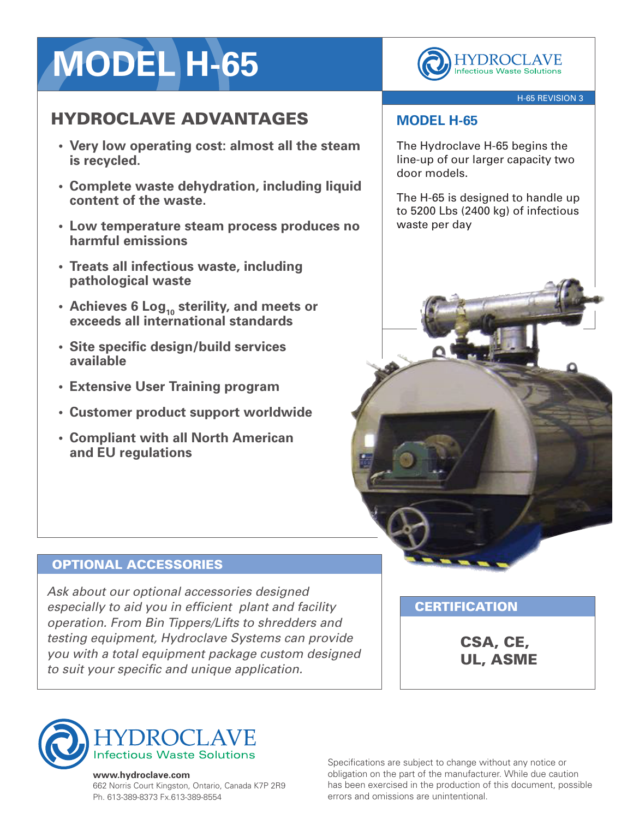# **MODEL H-65**

## HYDROCLAVE ADVANTAGES

- **• Very low operating cost: almost all the steam is recycled.**
- **• Complete waste dehydration, including liquid content of the waste.**
- **• Low temperature steam process produces no harmful emissions**
- **• Treats all infectious waste, including pathological waste**
- **• Achieves 6 Log<sup>10</sup> sterility, and meets or exceeds all international standards**
- **• Site specific design/build services available**
- **• Extensive User Training program**
- **• Customer product support worldwide**
- **• Compliant with all North American and EU regulations**

**HYDROCLAVE**<br>Infectious Waste Solutions

#### H-65 REVISION 3

### **MODEL H-65**

The Hydroclave H-65 begins the line-up of our larger capacity two door models.

The H-65 is designed to handle up to 5200 Lbs (2400 kg) of infectious waste per day

## OPTIONAL ACCESSORIES

*Ask about our optional accessories designed especially to aid you in efficient plant and facility operation. From Bin Tippers/Lifts to shredders and testing equipment, Hydroclave Systems can provide you with a total equipment package custom designed to suit your specific and unique application.*

**CERTIFICATION** 

CSA, CE, UL, ASME



#### **www.hydroclave.com**

662 Norris Court Kingston, Ontario, Canada K7P 2R9 Ph. 613-389-8373 Fx.613-389-8554

Specifications are subject to change without any notice or obligation on the part of the manufacturer. While due caution has been exercised in the production of this document, possible errors and omissions are unintentional.